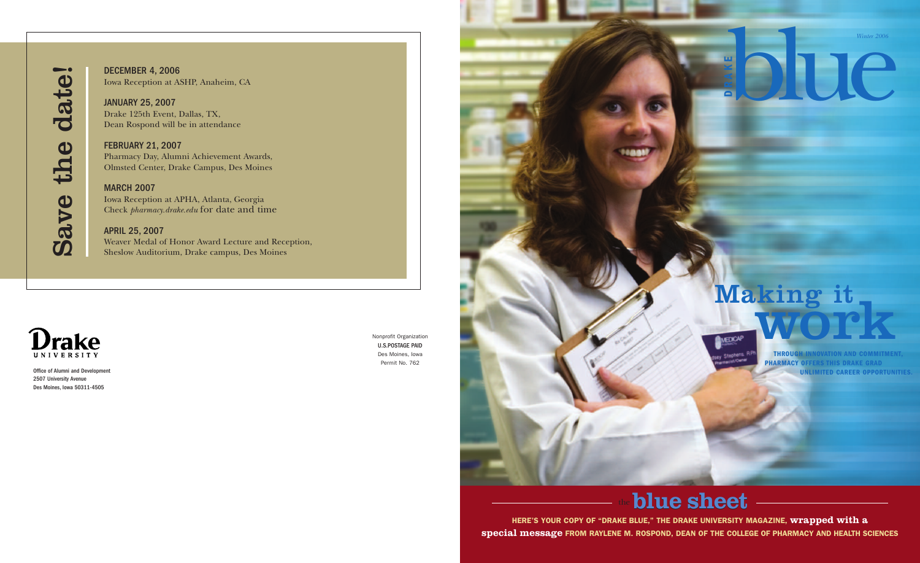*Winter 2006*

blue **<sup>D</sup>**

**KE**

> **THROUGH INNOVATION AND COMMITMENT, PHARMACY OFFERS THIS DRAKE GRAD UNLIMITED CAREER OPPORTUNITIES.**

## **blue** sheet

# Making it work



**HERE'S YOUR COPY OF "DRAKE BLUE," THE DRAKE UNIVERSITY MAGAZINE, wrapped with a special message FROM RAYLENE M. ROSPOND, DEAN OF THE COLLEGE OF PHARMACY AND HEALTH SCIENCES**



Office of Alumni and Development 2507 University Avenue Des Moines, Iowa 50311-4505





## $\mathbf{D}$  $\bf \Omega$ v  $\bf \Phi$  $\div$  $\mathbf{p}$  $\bf \Phi$ d  $\mathbf{\tilde{c}}$  $\div$  $\bf \Phi$  $\bullet$

DECEMBER 4, 2006 Iowa Reception at ASHP, Anaheim, CA

JANUARY 25, 2007 Drake 125th Event, Dallas, TX, Dean Rospond will be in attendance

FEBRUARY 21, 2007 Pharmacy Day, Alumni Achievement Awards, Olmsted Center, Drake Campus, Des Moines

## **MARCH 2007**

Iowa Reception at APHA, Atlanta, Georgia Check *pharmacy.drake.edu* for date and time

### APRIL 25, 2007

Weaver Medal of Honor Award Lecture and Reception, Sheslow Auditorium, Drake campus, Des Moines